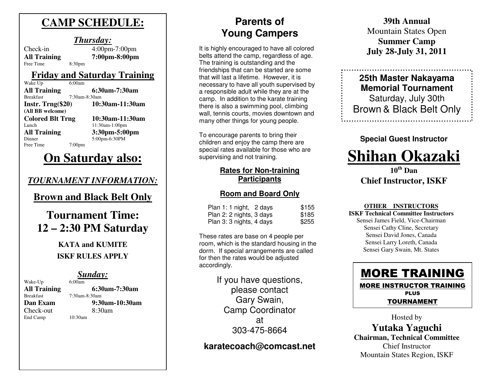# **CAMP SCHEDULE:**

### *Thursday:*

 Check-in 4:00pm-7:00pm **All Training**Free Time 8:30pm

**7:00pm-8:00pm** 

### **Friday and Saturday Training**

| Wake Up                 | 6:00am        |                 |
|-------------------------|---------------|-----------------|
| <b>All Training</b>     |               | 6:30am-7:30am   |
| <b>Breakfast</b>        | 7:30am-8:30am |                 |
| Instr. $Trng($20)$      |               | 10:30am-11:30am |
| (All BB welcome)        |               |                 |
| <b>Colored Blt Trng</b> |               | 10:30am-11:30am |
| Lunch                   |               | 11:30am-1:00pm  |
| <b>All Training</b>     |               | 3:30pm-5:00pm   |
| Dinner                  |               | 5:00pm-6:30PM   |
| Free Time               | 7:00pm        |                 |
|                         |               |                 |

# **On Saturday also:**

### *TOURNAMENT INFORMATION:*

## **Brown and Black Belt Only**

# **Tournament Time: 12 – 2:30 PM Saturday**

## **KATA and KUMITE ISKF RULES APPLY**

# **Sunday:**

Wake-Up **All Training**Check-out 8:30am End Camp 10:30am

# **6:30am-7:30am**  7:30am-8:30am **Dan Exam 9:30am-10:30am**

# **Parents of Young Campers**

It is highly encouraged to have all colored belts attend the camp, regardless of age. The training is outstanding and the friendships that can be started are some that will last a lifetime. However, it is necessary to have all youth supervised by a responsible adult while they are at the camp. In addition to the karate training there is also a swimming pool, climbing wall, tennis courts, movies downtown and many other things for young people.

To encourage parents to bring their children and enjoy the camp there are special rates available for those who are supervising and not training.

### **Rates for Non-training Participants**

### **Room and Board Only**

| Plan 1: 1 night, 2 days  | \$155 |
|--------------------------|-------|
| Plan 2: 2 nights, 3 days | \$185 |
| Plan 3: 3 nights, 4 days | \$255 |

These rates are base on 4 people per room, which is the standard housing in the dorm. If special arrangements are called for then the rates would be adjusted accordingly.

> If you have questions, please contact Gary Swain, Camp Coordinator at 303-475-8664

## **karatecoach@comcast.net**

**39th Annual** Mountain States Open **Summer Camp July 28-July 31, 2011** 

**25th Master Nakayama Memorial Tournament** Saturday, July 30th Brown & Black Belt Only

### **Special Guest Instructor**



**10th Dan Chief Instructor, ISKF** 

#### **OTHER INSTRUCTORS**

 **ISKF Technical Committee Instructors** Sensei James Field, Vice-Chairman Sensei Cathy Cline, Secretary Sensei David Jones, Canada Sensei Larry Loreth, Canada Sensei Gary Swain, Mt. States



TOURNAMENT

Hosted by **Yutaka Yaguchi Chairman, Technical Committee**

Chief Instructor Mountain States Region, ISKF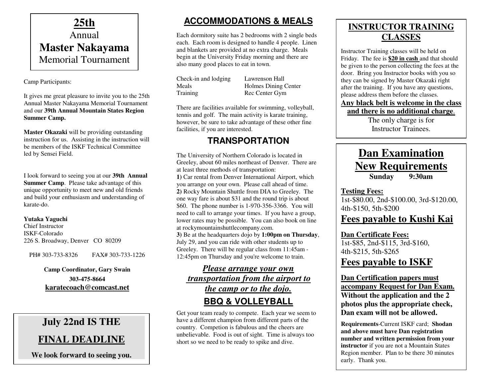

Camp Participants:

It gives me great pleasure to invite you to the 25th Annual Master Nakayama Memorial Tournament and our **39th Annual Mountain States Region Summer Camp.** 

**Master Okazaki** will be providing outstanding instruction for us. Assisting in the instruction will be members of the ISKF Technical Committee led by Sensei Field.

I look forward to seeing you at our **39th Annual Summer Camp**. Please take advantage of this unique opportunity to meet new and old friends and build your enthusiasm and understanding of karate-do.

#### **Yutaka Yaguchi**

Chief Instructor ISKF-Colorado 226 S. Broadway, Denver CO 80209

PH# 303-733-8326 FAX# 303-733-1226

#### **Camp Coordinator, Gary Swain**

**303-475-8664 karatecoach@comcast.net**

## **July 22nd IS THE**

## **FINAL DEADLINE**

**We look forward to seeing you.** 

## **ACCOMMODATIONS & MEALS**

Each dormitory suite has 2 bedrooms with 2 single beds each. Each room is designed to handle 4 people. Linen and blankets are provided at no extra charge. Meals begin at the University Friday morning and there are also many good places to eat in town.

| Check-in and lodging |  |
|----------------------|--|
| Meals                |  |
| Training             |  |

Lawrenson Hall Holmes Dining Center Rec Center Gym

There are facilities available for swimming, volleyball, tennis and golf. The main activity is karate training, however, be sure to take advantage of these other fine facilities, if you are interested.

### **TRANSPORTATION**

The University of Northern Colorado is located in Greeley, about 60 miles northeast of Denver. There are at least three methods of transportation: **1)** Car rental from Denver International Airport, whichyou arrange on your own. Please call ahead of time. **2)** Rocky Mountain Shuttle from DIA to Greeley. The one way fare is about \$31 and the round trip is about \$60. The phone number is 1-970-356-3366. You will need to call to arrange your times. If you have a group, lower rates may be possible. You can also book on line at rockymountainshuttlecompany.com. **3)** Be at the headquarters dojo by **1:00pm on Thursday**, July 29, and you can ride with other students up to Greeley. There will be regular class from 11:45am - 12:45pm on Thursday and you're welcome to train.

### *Please arrange your own transportation from the airport to the camp or to the dojo.***BBQ & VOLLEYBALL**

 Get your team ready to compete. Each year we seem to have a different champion from different parts of the country. Competion is fabulous and the cheers are unbelievable. Food is out of sight. Time is always too short so we need to be ready to spike and dive.

## **INSTRUCTOR TRAINING CLASSES**

Instructor Training classes will be held on Friday. The fee is **\$20 in cash** and that should be given to the person collecting the fees at the door. Bring you Instructor books with you so they can be signed by Master Okazaki right after the training. If you have any questions, please address them before the classes.

### **Any black belt is welcome in the class**

**and there is no additional charge**.The only charge is for

Instructor Trainees.

## **Dan Examination New Requirements Sunday 9:30am**

### **Testing Fees:**

 1st-\$80.00, 2nd-\$100.00, 3rd-\$120.00, 4th-\$150, 5th-\$200

## **Fees payable to Kushi Kai**

#### **Dan Certificate Fees:**

 1st-\$85, 2nd-\$115, 3rd-\$160, 4th-\$215, 5th-\$265 **Fees payable to ISKF**

#### **Dan Certification papers must accompany Request for Dan Exam.Without the application and the 2 photos plus the appropriate check, Dan exam will not be allowed.**

**Requirements**-Current ISKF card; **Shodan and above must have Dan registration number and written permission from your instructor** if you are not a Mountain States Region member. Plan to be there 30 minutes early. Thank you.